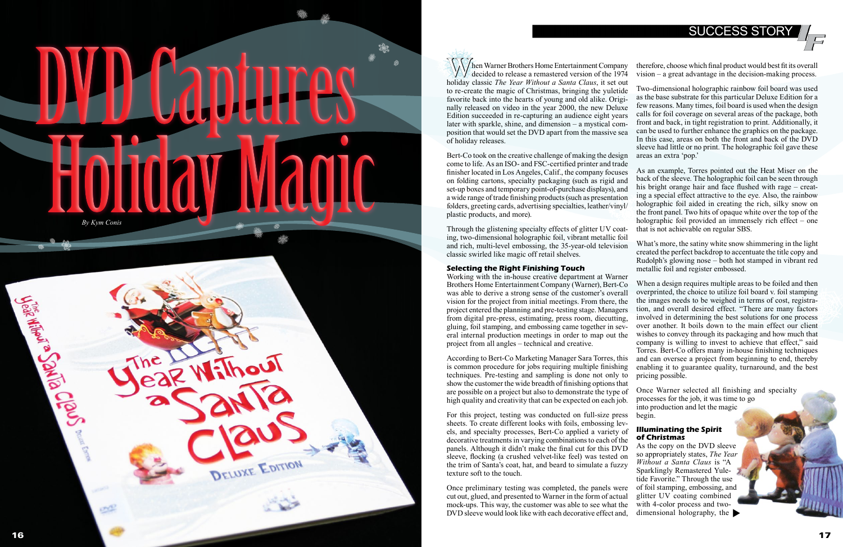# SUCCESS STORY

come to life. As an ISO- and FSC-certified printer and trade finisher located in Los Angeles, Calif., the company focuses on folding cartons, specialty packaging (such as rigid and set-up boxes and temporary point-of-purchase displays), and a wide range of trade finishing products (such as presentation folders, greeting cards, advertising specialties, leather/vinyl/ plastic products, and more).

Through the glistening specialty effects of glitter UV coat ing, two-dimensional holographic foil, vibrant metallic foil and rich, multi-level embossing, the 35-year-old television classic swirled like magic off retail shelves.

### **Selecting the Right Finishing Touch**

Then Warner Brothers Home Entertainment Company<br>decided to release a remastered version of the 1974<br>holiday classic *The Year Without a Santa Claus* it set out holiday classic *The Year Without a Santa Claus*, it set out to re-create the magic of Christmas, bringing the yuletide favorite back into the hearts of young and old alike. Origi nally released on video in the year 2000, the new Deluxe Edition succeeded in re-capturing an audience eight years later with sparkle, shine, and dimension – a mystical composition that would set the DVD apart from the massive sea of holiday releases. Bert-Co took on the creative challenge of making the design therefore, choose which final product would best fit its overall vision – a great advantage in the decision-making process. Two-dimensional holographic rainbow foil board was used as the base substrate for this particular Deluxe Edition for a few reasons. Many times, foil board is used when the design calls for foil coverage on several areas of the package, both front and back, in tight registration to print. Additionally, it can be used to further enhance the graphics on the package. In this case, areas on both the front and back of the DVD sleeve had little or no print. The holographic foil gave these areas an extra 'pop.'

show the customer the wide breadth of finishing options that are possible on a project but also to demonstrate the type of high quality and creativity that can be expected on each job.

For this project, testing was conducted on full-size press sheets. To create different looks with foils, embossing levels, and specialty processes, Bert-Co applied a variety of decorative treatments in varying combinations to each of the panels. Although it didn't make the final cut for this DVD sleeve, flocking (a crushed velvet-like feel) was tested on the trim of Santa's coat, hat, and beard to simulate a fuzzy texture soft to the touch.



Once preliminary testing was completed, the panels were cut out, glued, and presented to Warner in the form of actual mock-ups. This way, the customer was able to see what the DVD sleeve would look like with each decorative effect and,

Working with the in-house creative department at Warner Brothers Home Entertainment Company (Warner), Bert-Co was able to derive a strong sense of the customer's overall vision for the project from initial meetings. From there, the project entered the planning and pre-testing stage. Managers from digital pre-press, estimating, press room, diecutting, gluing, foil stamping, and embossing came together in sev eral internal production meetings in order to map out the project from all angles – technical and creative. According to Bert-Co Marketing Manager Sara Torres, this is common procedure for jobs requiring multiple finishing techniques. Pre-testing and sampling is done not only to When a design requires multiple areas to be foiled and then overprinted, the choice to utilize foil board v. foil stamping the images needs to be weighed in terms of cost, registra tion, and overall desired effect. "There are many factors involved in determining the best solutions for one process over another. It boils down to the main effect our client wishes to convey through its packaging and how much that company is willing to invest to achieve that effect," said Torres. Bert-Co offers many in-house finishing techniques and can oversee a project from beginning to end, thereby enabling it to guarantee quality, turnaround, and the best pricing possible.

As an example, Torres pointed out the Heat Miser on the back of the sleeve. The holographic foil can be seen through his bright orange hair and face flushed with rage - creating a special effect attractive to the eye. Also, the rainbow holographic foil aided in creating the rich, silky snow on the front panel. Two hits of opaque white over the top of the holographic foil provided an immensely rich effect – one that is not achievable on regular SBS.

What's more, the satiny white snow shimmering in the light created the perfect backdrop to accentuate the title copy and Rudolph's glowing nose – both hot stamped in vibrant red metallic foil and register embossed.

Once Warner selected all finishing and specialty processes for the job, it was time to go into production and let the magic begin.

### **Illuminating the Spirit of Christmas**

As the copy on the DVD sleeve so appropriately states, *The Year Without a Santa Claus* is "A Sparklingly Remastered Yule tide Favorite." Through the use of foil stamping, embossing, and glitter UV coating combined with 4-color process and twodimensional holography, the